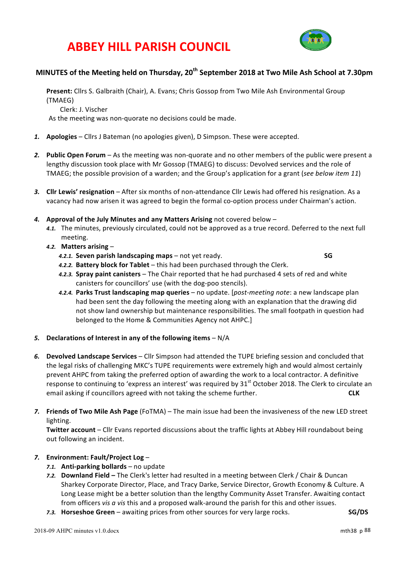# **ABBEY HILL PARISH COUNCIL**



### **MINUTES of the Meeting held on Thursday, 20th September 2018 at Two Mile Ash School at 7.30pm**

Present: Cllrs S. Galbraith (Chair), A. Evans; Chris Gossop from Two Mile Ash Environmental Group (TMAEG)

Clerk: J. Vischer

As the meeting was non-quorate no decisions could be made.

- 1. **Apologies** Cllrs J Bateman (no apologies given), D Simpson. These were accepted.
- 2. Public Open Forum As the meeting was non-quorate and no other members of the public were present a lengthy discussion took place with Mr Gossop (TMAEG) to discuss: Devolved services and the role of TMAEG; the possible provision of a warden; and the Group's application for a grant (see below item 11)
- 3. Cllr Lewis' resignation After six months of non-attendance Cllr Lewis had offered his resignation. As a vacancy had now arisen it was agreed to begin the formal co-option process under Chairman's action.
- 4. Approval of the July Minutes and any Matters Arising not covered below -
	- 4.1. The minutes, previously circulated, could not be approved as a true record. Deferred to the next full meeting.
	- *4.2.* **Matters arising** 
		- *4.2.1.* **Seven parish landscaping maps** not yet ready. **SG**

- 4.2.2. Battery block for Tablet this had been purchased through the Clerk.
- 4.2.3. **Spray paint canisters** The Chair reported that he had purchased 4 sets of red and white canisters for councillors' use (with the dog-poo stencils).
- 4.2.4. Parks Trust landscaping map queries no update. [post-meeting note: a new landscape plan had been sent the day following the meeting along with an explanation that the drawing did not show land ownership but maintenance responsibilities. The small footpath in question had belonged to the Home & Communities Agency not AHPC.]
- 5. Declarations of Interest in any of the following items N/A
- 6. Devolved Landscape Services Cllr Simpson had attended the TUPE briefing session and concluded that the legal risks of challenging MKC's TUPE requirements were extremely high and would almost certainly prevent AHPC from taking the preferred option of awarding the work to a local contractor. A definitive response to continuing to 'express an interest' was required by 31<sup>st</sup> October 2018. The Clerk to circulate an email asking if councillors agreed with not taking the scheme further. **CLK**
- 7. **Friends of Two Mile Ash Page** (FoTMA) The main issue had been the invasiveness of the new LED street lighting.

**Twitter account** – Cllr Evans reported discussions about the traffic lights at Abbey Hill roundabout being out following an incident.

### *7.* **Environment: Fault/Project Log** –

- 7.1. **Anti-parking bollards** no update
- 7.2. Downland Field The Clerk's letter had resulted in a meeting between Clerk / Chair & Duncan Sharkey Corporate Director, Place, and Tracy Darke, Service Director, Growth Economy & Culture. A Long Lease might be a better solution than the lengthy Community Asset Transfer. Awaiting contact from officers *vis a vis* this and a proposed walk-around the parish for this and other issues.
- *7.3.* **Horseshoe Green** awaiting prices from other sources for very large rocks. **SG/DS**